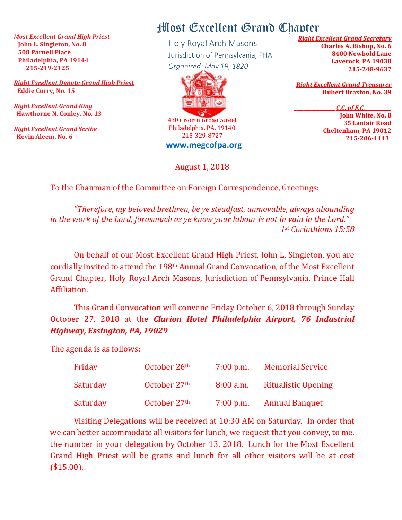*Most Excellent Grand High Priest*  **John L. Singleton, No. 8 508 Parnell Place Philadelphia, PA 19144 215-219-2125**

*Right Excellent Deputy Grand High Priest* **Eddie Curry, No. 15**

*Right Excellent Grand King*  **Hawthorne N. Conley, No. 13**

*Right Excellent Grand Scribe*  **Kevin Aleem, No. 6** 

## Most Excellent Grand Chapter

Holy Royal Arch Masons Jurisdiction of Pennsylvania, PHA *Organized: May 19, 1820*



4301 North Broad Street Philadelphia, PA, 19140 215-329-8727 **[www.megcofpa.org](http://www.megcofpa.org/)**

August 1, 2018

*Right Excellent Grand Secretary* **Charles A. Bishop, No. 6 8400 Newbold Lane Laverock, PA 19038 215-248-9637**

*Right Excellent Grand Treasurer* **Hubert Braxton, No. 39**

*\_\_\_\_\_\_\_\_\_\_\_\_\_\_\_\_\_\_C.C. of F.C.\_\_\_\_\_\_\_\_\_\_\_*

**John White, No. 8 35 Lanfair Road Cheltenham, PA 19012 215-206-1143**

To the Chairman of the Committee on Foreign Correspondence, Greetings:

*"Therefore, my beloved brethren, be ye steadfast, unmovable, always abounding in the work of the Lord, forasmuch as ye know your labour is not in vain in the Lord." 1st Corinthians 15:58*

On behalf of our Most Excellent Grand High Priest, John L. Singleton, you are cordially invited to attend the 198th Annual Grand Convocation, of the Most Excellent Grand Chapter, Holy Royal Arch Masons, Jurisdiction of Pennsylvania, Prince Hall Affiliation.

This Grand Convocation will convene Friday October 6, 2018 through Sunday October 27, 2018 at the *Clarion Hotel Philadelphia Airport, 76 Industrial Highway, Essington, PA, 19029*

The agenda is as follows:

| Friday   | October 26th | $7:00$ p.m. | <b>Memorial Service</b>    |
|----------|--------------|-------------|----------------------------|
| Saturday | October 27th | $8:00$ a.m. | <b>Ritualistic Opening</b> |
| Saturday | October 27th | $7:00$ p.m. | <b>Annual Banquet</b>      |

Visiting Delegations will be received at 10:30 AM on Saturday. In order that we can better accommodate all visitors for lunch, we request that you convey, to me, the number in your delegation by October 13, 2018. Lunch for the Most Excellent Grand High Priest will be gratis and lunch for all other visitors will be at cost (\$15.00).